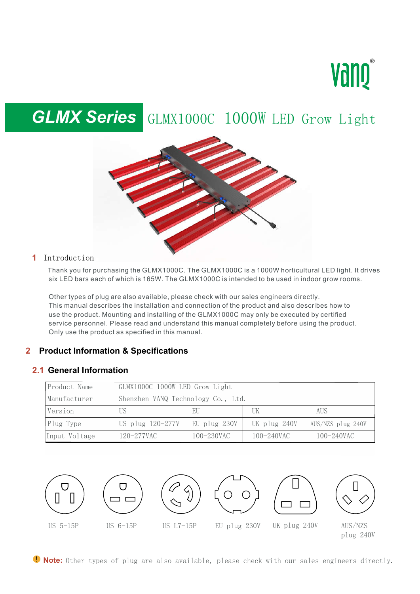# Vano

# **GLMX Series** GLMX1000C 1000W LED Grow Light



#### **1** Introduction

Thank you for purchasing the GLMX1000C. The GLMX1000C is a 1000W horticultural LED light. It drives six LED bars each of which is 165W. The GLMX1000C is intended to be used in indoor grow rooms.

 Other types of plug are also available, please check with our sales engineers directly. This manual describes the installation and connection of the product and also describes how to use the product. Mounting and installing of the GLMX1000C may only be executed by certified service personnel. Please read and understand this manual completely before using the product. Only use the product as specified in this manual.

# **2 Product Information & Specifications**

#### **2.1 General Information**

| Product Name  | GLMX1000C 1000W LED Grow Light     |              |              |                   |  |
|---------------|------------------------------------|--------------|--------------|-------------------|--|
| Manufacturer  | Shenzhen VANQ Technology Co., Ltd. |              |              |                   |  |
| Version       | US.                                | EU           | UK           | AUS               |  |
| Plug Type     | US plug $120-277V$                 | EU plug 230V | UK plug 240V | AUS/NZS plug 240V |  |
| Input Voltage | 120-277VAC                         | 100-230VAC   | 100-240VAC   | 100-240VAC        |  |



**I** Note: Other types of plug are also available, please check with our sales engineers directly.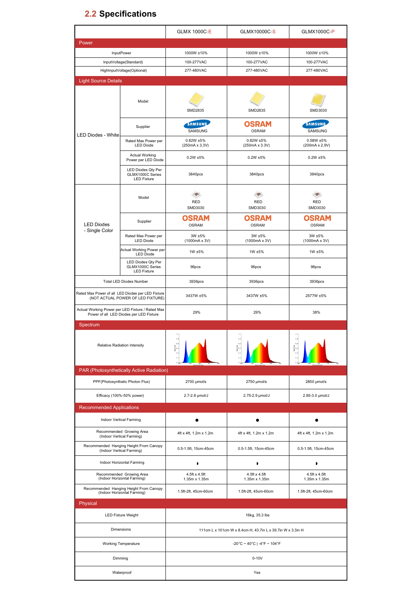# **2.2 Specifications**

|                                                                                             |                                                                     | <b>GLMX 1000C-E</b><br>GLMX10000C-S<br><b>GLMX1000C-P</b>              |                                |                                |  |
|---------------------------------------------------------------------------------------------|---------------------------------------------------------------------|------------------------------------------------------------------------|--------------------------------|--------------------------------|--|
| Power                                                                                       |                                                                     |                                                                        |                                |                                |  |
| InputPower                                                                                  |                                                                     | 1000W ±10%                                                             | 1000W ±10%                     | 1000W ±10%                     |  |
|                                                                                             | InputVoltage(Standard)                                              | 100-277VAC                                                             | 100-277VAC                     | 100-277VAC                     |  |
|                                                                                             | HighInputVoltage(Optional)                                          | 277-480VAC                                                             | 277-480VAC                     | 277-480VAC                     |  |
| <b>Light Source Details</b>                                                                 |                                                                     |                                                                        |                                |                                |  |
|                                                                                             |                                                                     |                                                                        |                                |                                |  |
|                                                                                             | Model                                                               |                                                                        | SMD2835                        |                                |  |
|                                                                                             |                                                                     | SMD2835                                                                |                                | SMD3030                        |  |
|                                                                                             | Supplier                                                            | <b>SAMSUNG</b><br>SAMSUNG                                              | <b>OSRAM</b><br><b>OSRAM</b>   | <b>SAMSUNG</b><br>SAMSUNG      |  |
| <b>LED Diodes - White</b>                                                                   | Rated Max Power per                                                 | 0.82W ±5%                                                              | 0.82W ±5%                      | 0.58W ±5%                      |  |
|                                                                                             | <b>LED Diode</b>                                                    | (250mA x 3.3V)                                                         | (250mA x 3.3V)                 | (200mA x 2.9V)                 |  |
|                                                                                             | <b>Actual Working</b><br>Power per LED Diode                        | $0.2W$ ±5%                                                             | $0.2W$ ±5%                     | $0.2W \pm 5%$                  |  |
|                                                                                             | LED Diodes Qty Per<br>GLMX1000C Series                              | 3840pcs                                                                | 3840pcs                        | 3840pcs                        |  |
|                                                                                             | <b>LED Fixture</b>                                                  |                                                                        |                                |                                |  |
|                                                                                             |                                                                     |                                                                        |                                |                                |  |
|                                                                                             | Model                                                               | <b>RED</b>                                                             | <b>RED</b>                     | <b>RED</b>                     |  |
|                                                                                             |                                                                     | SMD3030                                                                | SMD3030                        | SMD3030                        |  |
| <b>LED Diodes</b>                                                                           | Supplier                                                            | <b>OSRAM</b><br><b>OSRAM</b>                                           | <b>OSRAM</b><br><b>OSRAM</b>   | <b>OSRAM</b><br><b>OSRAM</b>   |  |
| - Single Color                                                                              | Rated Max Power per                                                 | 3W ±5%                                                                 | 3W ±5%                         | 3W ±5%                         |  |
|                                                                                             | <b>LED Diode</b><br>Actual Working Power per                        | (1000mA x 3V)                                                          | (1000mA x 3V)                  | (1000mA x 3V)                  |  |
|                                                                                             | <b>LED Diode</b><br>LED Diodes Qty Per                              | 1W ±5%                                                                 | 1W ±5%                         | 1W ±5%                         |  |
|                                                                                             | GLMX1000C Series<br><b>LED Fixture</b>                              | 96pcs                                                                  | 96pcs                          | 96pcs                          |  |
| <b>Total LED Diodes Number</b>                                                              |                                                                     | 3936pcs                                                                | 3936pcs                        | 3936pcs                        |  |
| Rated Max Power of all LED Diodes per LED Fixture<br>(NOT ACTUAL POWER OF LED FIXTURE)      |                                                                     | 3437W ±5%                                                              | 3437W ±5%                      | 2577W ±5%                      |  |
| Actual Working Power per LED Fixture / Rated Max<br>Power of all LED Diodes per LED Fixture |                                                                     | 29%                                                                    | 29%                            | 38%                            |  |
| Spectrum                                                                                    |                                                                     |                                                                        |                                |                                |  |
| <b>Relative Radiation Intensity</b>                                                         |                                                                     | ú.<br>$\mathbf{I}$                                                     | iá.<br>$\mathbf{I}$            | $\mathbf{I}$                   |  |
|                                                                                             | <b>PAR (Photosynthetically Active Radiation)</b>                    |                                                                        |                                |                                |  |
|                                                                                             | PPF(Photosynthetic Photon Flux)                                     | 2700 µmol/s                                                            | 2750 µmol/s                    | 2850 µmol/s                    |  |
|                                                                                             | Efficacy (100%-50% power)                                           | 2.7-2.8 µmol/J                                                         | 2.75-2.9 µmol/J                |                                |  |
| <b>Recommended Applications</b>                                                             |                                                                     |                                                                        |                                |                                |  |
|                                                                                             | <b>Indoor Vertical Farming</b>                                      |                                                                        |                                |                                |  |
|                                                                                             | Recommended Growing Area<br>(Indoor Vertical Farming)               | 4ft x 4ft, 1.2m x 1.2m                                                 | 4ft x 4ft, 1.2m x 1.2m         | 4ft x 4ft, 1.2m x 1.2m         |  |
|                                                                                             | Recommended Hanging Height From Canopy<br>(Indoor Vertical Farming) | 0.5-1.5ft, 15cm-45cm                                                   | 0.5-1.5ft, 15cm-45cm           | 0.5-1.5ft, 15cm-45cm           |  |
|                                                                                             | Indoor Horizontal Farming                                           |                                                                        |                                |                                |  |
| Recommended Growing Area<br>(Indoor Horizontal Farming)                                     |                                                                     | 4.5ft x 4.5ft<br>1.35m x 1.35m                                         | 4.5ft x 4.5ft<br>1.35m x 1.35m | 4.5ft x 4.5ft<br>1.35m x 1.35m |  |
| Recommended Hanging Height From Canopy<br>(Indoor Horizontal Farming)                       |                                                                     | 1.5ft-2ft, 45cm-60cm                                                   | 1.5ft-2ft, 45cm-60cm           | 1.5ft-2ft, 45cm-60cm           |  |
| Physical                                                                                    |                                                                     |                                                                        |                                |                                |  |
| <b>LED Fixture Weight</b>                                                                   |                                                                     | 16kg, 35.3 lbs                                                         |                                |                                |  |
| Dimensions                                                                                  |                                                                     | 111cm L x 101cm W x 8.4cm H, 43.7in L x 39.7in W x 3.3in H             |                                |                                |  |
| <b>Working Temperature</b>                                                                  |                                                                     | $-20^{\circ}$ C ~ 40 $^{\circ}$ C   -4 $^{\circ}$ F ~ 104 $^{\circ}$ F |                                |                                |  |
| Dimming                                                                                     |                                                                     | $0 - 10V$                                                              |                                |                                |  |
| Waterproof                                                                                  |                                                                     | Yes                                                                    |                                |                                |  |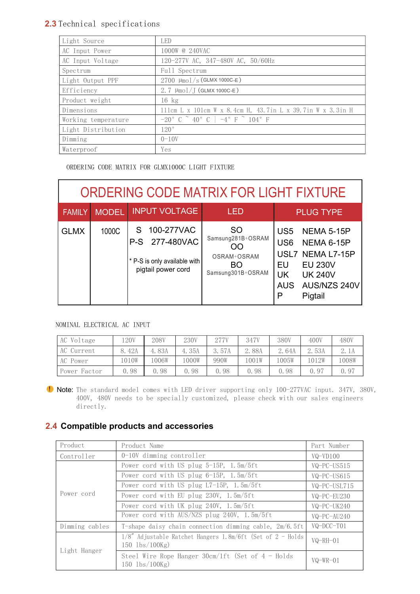# **2.3** Technical specifications

| Light Source        | LED.                                                              |
|---------------------|-------------------------------------------------------------------|
| AC Input Power      | 1000W @ 240VAC                                                    |
| AC Input Voltage    | 120-277V AC, 347-480V AC, 50/60Hz                                 |
| Spectrum            | Full Spectrum                                                     |
| Light Output PPF    | 2700 $\mu$ mol/s (GLMX 1000C-E)                                   |
| Efficiency          | 2. 7 $\mu$ mo $1/J$ (GLMX 1000C-E)                                |
| Product weight      | $16$ kg                                                           |
| Dimensions          | 111cm L x 101cm W x 8.4cm H, 43.7in L x 39.7in W x 3.3in H        |
| Working temperature | $-20^{\circ}$ C $\degree$ 40° C   $-4^{\circ}$ F $\degree$ 104° F |
| Light Distribution  | 120°                                                              |
| Dimming             | $0 - 10V$                                                         |
| Waterproof          | Yes                                                               |

ORDERING CODE MATRIX FOR GLMX1000C LIGHT FIXTURE

|               | ORDERING CODE MATRIX FOR LIGHT FIXTURE |                                                                                          |                                                                                 |                                                                                                                                                                                                |  |  |  |  |
|---------------|----------------------------------------|------------------------------------------------------------------------------------------|---------------------------------------------------------------------------------|------------------------------------------------------------------------------------------------------------------------------------------------------------------------------------------------|--|--|--|--|
| <b>FAMILY</b> | <b>MODEL</b>                           | <b>INPUT VOLTAGE</b>                                                                     | LED                                                                             | <b>PLUG TYPE</b>                                                                                                                                                                               |  |  |  |  |
| <b>GLMX</b>   | 1000C                                  | 100-277VAC<br>S.<br>P-S 277-480VAC<br>* P-S is only available with<br>pigtail power cord | <b>SO</b><br>Samsung281B+OSRAM<br>ററ<br>OSRAM+OSRAM<br>BO.<br>Samsung301B+OSRAM | US <sub>5</sub><br><b>NEMA 5-15P</b><br>US <sub>6</sub><br><b>NEMA 6-15P</b><br>USL7 NEMA L7-15P<br>EU<br><b>EU 230V</b><br>UK<br><b>UK 240V</b><br>AUS/NZS 240V<br><b>AUS</b><br>P<br>Pigtail |  |  |  |  |

#### NOMINAL ELECTRICAL AC INPUT

| AC Voltage   | 120V  | 208V | 230V  | 277V  | 347V  | 380V  | 400V  | 480V  |
|--------------|-------|------|-------|-------|-------|-------|-------|-------|
| AC Current   | 8.42A | 83A  | 4.35A | 3.57A | 2.88A | 2.64A | 2.53A |       |
| AC Power     | 1010W | 006W | 000W  | 990W  | 001W  | L005W | 1012W | 1008W |
| Power Factor | 0.98  | 98   | . 98  | 0.98  | 0.98  | 0.98  | . 97  | 0.97  |

! Note: The standard model comes with LED driver supporting only 100-277VAC input. 347V, 380V, 400V, 480V needs to be specially customized, please check with our sales engineers directly.

# **2.4 Compatible products and accessories**

| Product        | Product Name                                                                                    | Part Number    |
|----------------|-------------------------------------------------------------------------------------------------|----------------|
| Controller     | 0-10V dimming controller                                                                        | $VQ-VD100$     |
|                | Power cord with US plug $5-15P$ , 1.5m/5ft                                                      | VQ-PC-US515    |
|                | Power cord with US plug $6-15P$ , 1.5m/5ft                                                      | VQ-PC-US615    |
|                | Power cord with US plug $L7-15P$ , 1.5m/5ft                                                     | VQ-PC-USL715   |
| Power cord     | Power cord with EU plug 230V, 1.5m/5ft                                                          | VQ-PC-EU230    |
|                | Power cord with UK plug 240V, 1.5m/5ft                                                          | VQ-PC-UK240    |
|                | Power cord with AUS/NZS plug 240V, 1.5m/5ft                                                     | VQ-PC-AU240    |
| Dimming cables | T-shape daisy chain connection dimming cable, 2m/6.5ft                                          | $VQ-DCC-T01$   |
|                | $1/8''$ Adjustable Ratchet Hangers 1.8m/6ft (Set of 2 - Holds<br>$150 \text{ lbs}/100\text{Kg}$ | $VQ - RH - O1$ |
| Light Hanger   | Steel Wire Rope Hanger $30cm/1ft$ (Set of $4$ - Holds<br>$150 \text{ lbs}/100\text{Kg}$         | $VO-WR-01$     |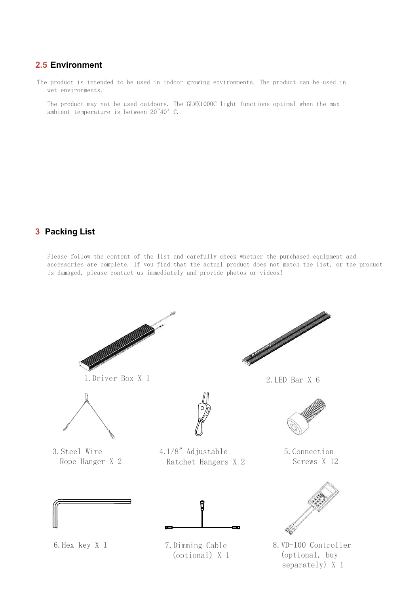#### **2.5 Environment**

The product is intended to be used in indoor growing environments. The product can be used in wet environments.

The product may not be used outdoors. The GLMX1000C light functions optimal when the max ambient temperature is between  $20^{\circ}40^{\circ}$  C.

#### **3 Packing List**

Please follow the content of the list and carefully check whether the purchased equipment and accessories are complete. If you find that the actual product does not match the list, or the product is damaged, please contact us immediately and provide photos or videos!

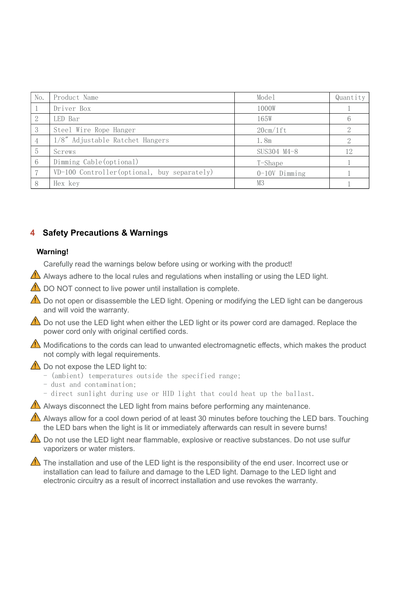| No. | Product Name                                 | Model           | Quantity |
|-----|----------------------------------------------|-----------------|----------|
|     | Driver Box                                   | 1000W           |          |
| 2   | LED Bar                                      | 165W            |          |
| 3   | Steel Wire Rope Hanger                       | 20cm/1ft        |          |
|     | $1/8''$ Adjustable Ratchet Hangers           | 1.8m            |          |
| 5   | Screws                                       | SUS304 M4-8     | 12       |
| 6   | Dimming Cable (optional)                     | T-Shape         |          |
|     | VD-100 Controller (optional, buy separately) | $0-10V$ Dimming |          |
|     | Hex key                                      | M3              |          |

#### **4 Safety Precautions & Warnings**

#### **Warning!**

Carefully read the warnings below before using or working with the product!

- $\Delta$  Always adhere to the local rules and regulations when installing or using the LED light.
- $\sqrt{1}$  DO NOT connect to live power until installation is complete.
- $\Delta$  Do not open or disassemble the LED light. Opening or modifying the LED light can be dangerous and will void the warranty.
- $\blacksquare$  Do not use the LED light when either the LED light or its power cord are damaged. Replace the power cord only with original certified cords.
- $\blacksquare$  Modifications to the cords can lead to unwanted electromagnetic effects, which makes the product not comply with legal requirements.

#### **I** Do not expose the LED light to:

- (ambient) temperatures outside the specified range;
- dust and contamination;
- direct sunlight during use or HID light that could heat up the ballast.
- $\triangle$  Always disconnect the LED light from mains before performing any maintenance.

 $\Delta$  Always allow for a cool down period of at least 30 minutes before touching the LED bars. Touching the LED bars when the light is lit or immediately afterwards can result in severe burns!

 $\Delta$  Do not use the LED light near flammable, explosive or reactive substances. Do not use sulfur vaporizers or water misters.

 $\blacksquare$  The installation and use of the LED light is the responsibility of the end user. Incorrect use or installation can lead to failure and damage to the LED light. Damage to the LED light and electronic circuitry as a result of incorrect installation and use revokes the warranty.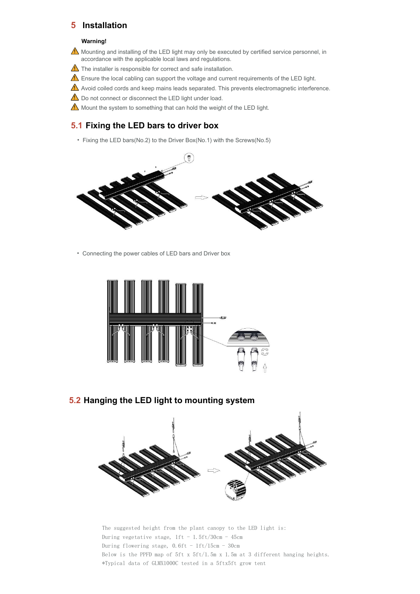#### **5 Installation**

#### **Warning!**

- $\triangle$  Mounting and installing of the LED light may only be executed by certified service personnel, in accordance with the applicable local laws and regulations.
- $\Lambda$  The installer is responsible for correct and safe installation.
- $\triangle$  Ensure the local cabling can support the voltage and current requirements of the LED light.
- A Avoid coiled cords and keep mains leads separated. This prevents electromagnetic interference.
- $\triangle$  Do not connect or disconnect the LED light under load.
- $\triangle$  Mount the system to something that can hold the weight of the LED light.

#### **5.1 Fixing the LED bars to driver box**

• Fixing the LED bars(No.2) to the Driver Box(No.1) with the Screws(No.5)



• Connecting the power cables of LED bars and Driver box



#### **5.2 Hanging the LED light to mounting system**



The suggested height from the plant canopy to the LED light is: During vegetative stage,  $1ft - 1.5ft/30cm - 45cm$ During flowering stage,  $0.6$ ft - 1ft/15cm - 30cm Below is the PPFD map of  $5$ ft x  $5$ ft/1.5m x 1.5m at 3 different hanging heights. \*Typical data of GLMX1000C tested in a 5ftx5ft grow tent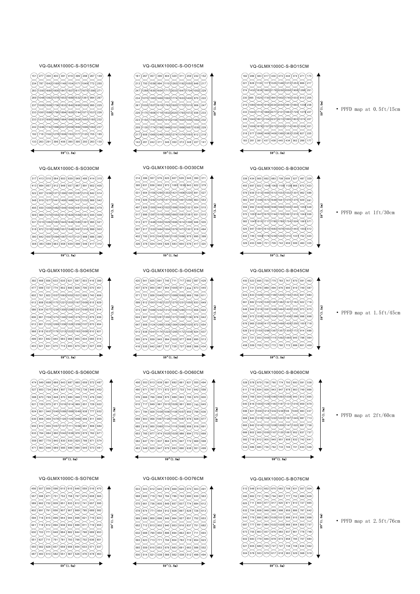











VQ-GLMX1000C-S-SO15CM





VQ-GLMX1000C-S-OO60CM





VQ-GLMX1000C-S-OO30CM



VQ-GLMX1000C-S-OO15CM



 (1236) -<br>738 ,<br>737 



 $59' (1.5n)$ • PPFD map at  $2 \text{ft}/60 \text{cm}$ 

VQ-GLMX1000C-S-BO60CM



• PPFD map at  $1.5 \text{ft}/45 \text{cm}$ 



VQ-GLMX1000C-S-BO30CM

• PPFD map at  $1 \text{ ft} / 30 \text{ cm}$ 



VQ-GLMX1000C-S-BO15CM

• PPFD map at  $2.5 \text{ft}/76 \text{cm}$ 

l a

 $\frac{1}{2}$ 

١a

 $\frac{1}{9}$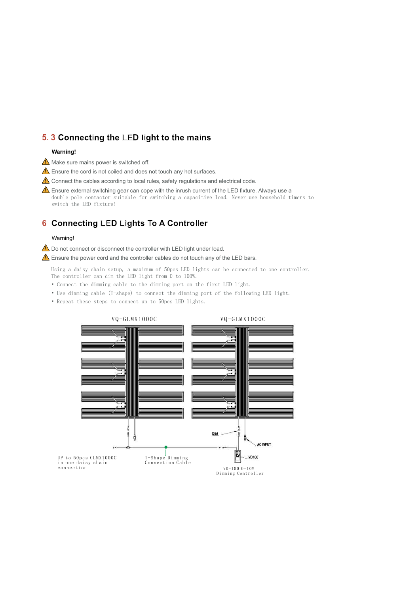#### **5.3 Connecting the LED light to the mains**

#### **Warning!**

 $\Lambda$  Make sure mains power is switched off.

 $\triangle$  Ensure the cord is not coiled and does not touch any hot surfaces.

 $\triangle$  Connect the cables according to local rules, safety regulations and electrical code.

 $\triangle$  Ensure external switching gear can cope with the inrush current of the LED fixture. Always use a double pole contactor suitable for switching a capacitive load. Never use household timers to switch the LED fixture!

#### 6 Connecting LED Lights To A Controller

#### Warning!

**1** Do not connect or disconnect the controller with LED light under load.

 $\triangle$  Ensure the power cord and the controller cables do not touch any of the LED bars.

Using a daisy chain setup, a maximum of 50pcs LED lights can be connected to one controller. The controller can dim the LED light from 0 to 100%.

• Connect the dimming cable to the dimming port on the first LED light.

• Use dimming cable (T-shape) to connect the dimming port of the following LED light.

• Repeat these steps to connect up to 50pcs LED lights.

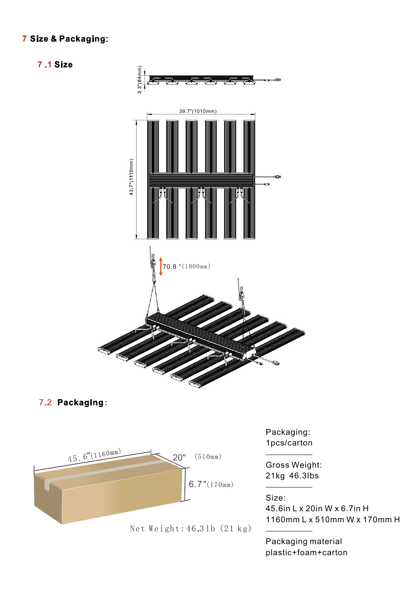# 7 Size & Packaging:

#### **7.1 Size**



# 7.2 Packaging:



Net Weight: 46.31b (21 kg)

Packaging: 1pcs/carton

Gross Weight: 21kg 46.3Ibs

#### Size:

45.6in L x 20in W x 6.7in H 1160mm L x 510mm W x 170mm H

Packaging material plastic+foam+carton